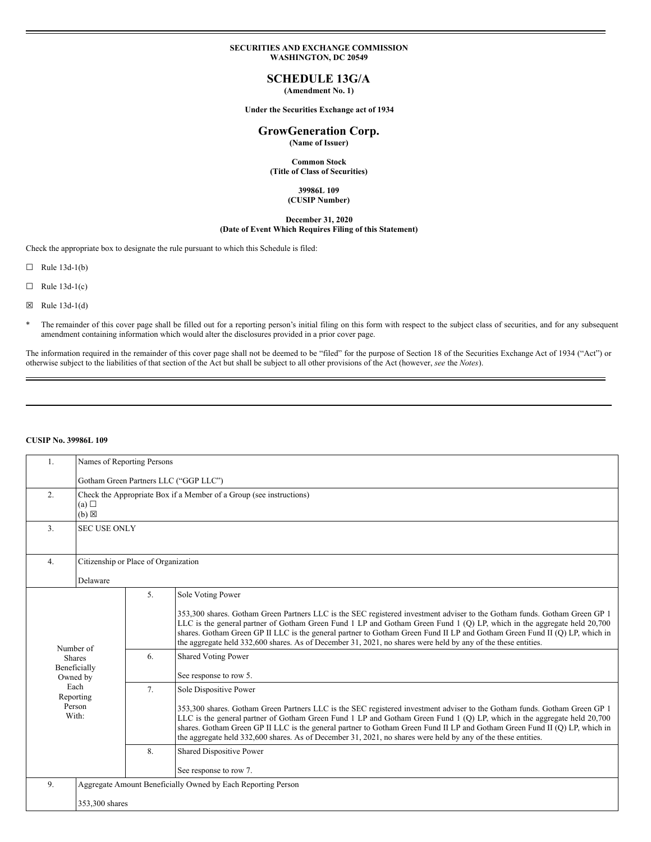### **SECURITIES AND EXCHANGE COMMISSION WASHINGTON, DC 20549**

# **SCHEDULE 13G/A**

**(Amendment No. 1)**

**Under the Securities Exchange act of 1934**

# **GrowGeneration Corp.**

**(Name of Issuer)**

**Common Stock (Title of Class of Securities)**

#### **39986L 109 (CUSIP Number)**

# **December 31, 2020 (Date of Event Which Requires Filing of this Statement)**

Check the appropriate box to designate the rule pursuant to which this Schedule is filed:

 $\Box$  Rule 13d-1(b)

 $\Box$  Rule 13d-1(c)

 $\boxtimes$  Rule 13d-1(d)

\* The remainder of this cover page shall be filled out for a reporting person's initial filing on this form with respect to the subject class of securities, and for any subsequent amendment containing information which would alter the disclosures provided in a prior cover page.

The information required in the remainder of this cover page shall not be deemed to be "filed" for the purpose of Section 18 of the Securities Exchange Act of 1934 ("Act") or otherwise subject to the liabilities of that section of the Act but shall be subject to all other provisions of the Act (however, *see* the *Notes*).

### **CUSIP No. 39986L 109**

| 1.                                                                                             | Names of Reporting Persons                                                                    |                                       |                                                                                                                                                                                                                                                                                                                                                                                                                                                                                                                               |  |  |
|------------------------------------------------------------------------------------------------|-----------------------------------------------------------------------------------------------|---------------------------------------|-------------------------------------------------------------------------------------------------------------------------------------------------------------------------------------------------------------------------------------------------------------------------------------------------------------------------------------------------------------------------------------------------------------------------------------------------------------------------------------------------------------------------------|--|--|
|                                                                                                |                                                                                               | Gotham Green Partners LLC ("GGP LLC") |                                                                                                                                                                                                                                                                                                                                                                                                                                                                                                                               |  |  |
| 2.                                                                                             | Check the Appropriate Box if a Member of a Group (see instructions)<br>(a)<br>$(b) \boxtimes$ |                                       |                                                                                                                                                                                                                                                                                                                                                                                                                                                                                                                               |  |  |
| 3.                                                                                             | <b>SEC USE ONLY</b>                                                                           |                                       |                                                                                                                                                                                                                                                                                                                                                                                                                                                                                                                               |  |  |
| 4.                                                                                             | Citizenship or Place of Organization                                                          |                                       |                                                                                                                                                                                                                                                                                                                                                                                                                                                                                                                               |  |  |
|                                                                                                | Delaware                                                                                      |                                       |                                                                                                                                                                                                                                                                                                                                                                                                                                                                                                                               |  |  |
| Number of<br><b>Shares</b><br>Beneficially<br>Owned by<br>Each<br>Reporting<br>Person<br>With: |                                                                                               | 5.                                    | Sole Voting Power<br>353,300 shares. Gotham Green Partners LLC is the SEC registered investment adviser to the Gotham funds. Gotham Green GP 1<br>LLC is the general partner of Gotham Green Fund 1 LP and Gotham Green Fund 1 (Q) LP, which in the aggregate held 20,700<br>shares. Gotham Green GP II LLC is the general partner to Gotham Green Fund II LP and Gotham Green Fund II (Q) LP, which in<br>the aggregate held 332,600 shares. As of December 31, 2021, no shares were held by any of the these entities.      |  |  |
|                                                                                                |                                                                                               | 6.                                    | <b>Shared Voting Power</b><br>See response to row 5.                                                                                                                                                                                                                                                                                                                                                                                                                                                                          |  |  |
|                                                                                                |                                                                                               | 7.                                    | Sole Dispositive Power<br>353,300 shares. Gotham Green Partners LLC is the SEC registered investment adviser to the Gotham funds. Gotham Green GP 1<br>LLC is the general partner of Gotham Green Fund 1 LP and Gotham Green Fund 1 (Q) LP, which in the aggregate held 20,700<br>shares. Gotham Green GP II LLC is the general partner to Gotham Green Fund II LP and Gotham Green Fund II (Q) LP, which in<br>the aggregate held 332,600 shares. As of December 31, 2021, no shares were held by any of the these entities. |  |  |
|                                                                                                |                                                                                               | 8.                                    | Shared Dispositive Power<br>See response to row 7.                                                                                                                                                                                                                                                                                                                                                                                                                                                                            |  |  |
| 9.                                                                                             | Aggregate Amount Beneficially Owned by Each Reporting Person                                  |                                       |                                                                                                                                                                                                                                                                                                                                                                                                                                                                                                                               |  |  |
|                                                                                                | 353,300 shares                                                                                |                                       |                                                                                                                                                                                                                                                                                                                                                                                                                                                                                                                               |  |  |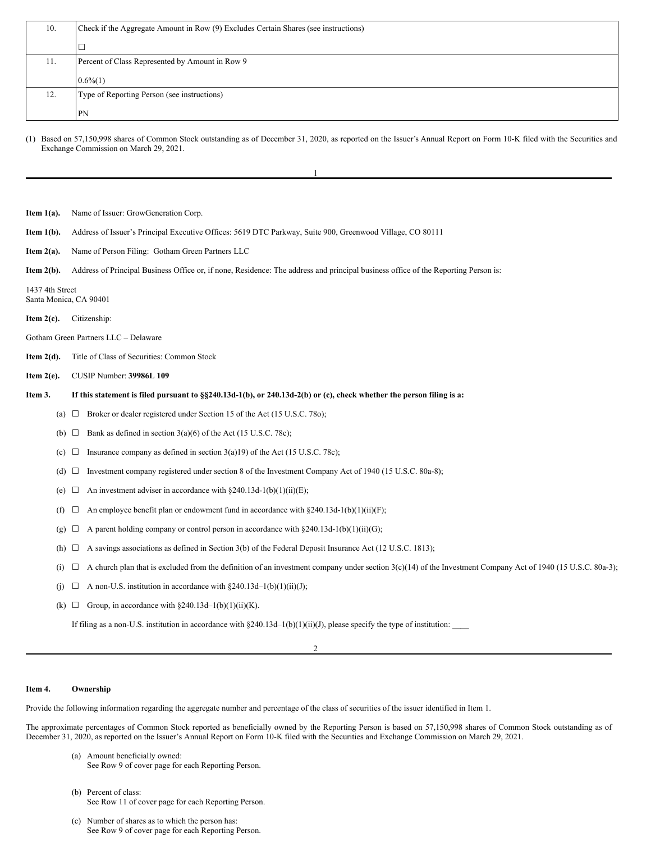| 10. | Check if the Aggregate Amount in Row (9) Excludes Certain Shares (see instructions) |  |  |
|-----|-------------------------------------------------------------------------------------|--|--|
|     |                                                                                     |  |  |
| 11. | Percent of Class Represented by Amount in Row 9                                     |  |  |
|     | $0.6\%(1)$                                                                          |  |  |
| 12. | Type of Reporting Person (see instructions)                                         |  |  |
|     | <b>PN</b>                                                                           |  |  |

(1) Based on 57,150,998 shares of Common Stock outstanding as of December 31, 2020, as reported on the Issuer's Annual Report on Form 10-K filed with the Securities and Exchange Commission on March 29, 2021.

1

| Item $1(a)$ .                             |                                 | Name of Issuer: GrowGeneration Corp.                                                                                                                          |  |  |  |  |  |
|-------------------------------------------|---------------------------------|---------------------------------------------------------------------------------------------------------------------------------------------------------------|--|--|--|--|--|
| Item $1(b)$ .                             |                                 | Address of Issuer's Principal Executive Offices: 5619 DTC Parkway, Suite 900, Greenwood Village, CO 80111                                                     |  |  |  |  |  |
| Item $2(a)$ .                             |                                 | Name of Person Filing: Gotham Green Partners LLC                                                                                                              |  |  |  |  |  |
| Item $2(b)$ .                             |                                 | Address of Principal Business Office or, if none, Residence: The address and principal business office of the Reporting Person is:                            |  |  |  |  |  |
| 1437 4th Street<br>Santa Monica, CA 90401 |                                 |                                                                                                                                                               |  |  |  |  |  |
| Item $2(c)$ .                             |                                 | Citizenship:                                                                                                                                                  |  |  |  |  |  |
|                                           |                                 | Gotham Green Partners LLC - Delaware                                                                                                                          |  |  |  |  |  |
| Item $2(d)$ .                             |                                 | Title of Class of Securities: Common Stock                                                                                                                    |  |  |  |  |  |
| Item $2(e)$ .                             | <b>CUSIP Number: 39986L 109</b> |                                                                                                                                                               |  |  |  |  |  |
| Item 3.                                   |                                 | If this statement is filed pursuant to §§240.13d-1(b), or 240.13d-2(b) or (c), check whether the person filing is a:                                          |  |  |  |  |  |
|                                           | $\Box$<br>(a)                   | Broker or dealer registered under Section 15 of the Act (15 U.S.C. 780);                                                                                      |  |  |  |  |  |
|                                           | $\Box$<br>(b)                   | Bank as defined in section $3(a)(6)$ of the Act (15 U.S.C. 78c);                                                                                              |  |  |  |  |  |
|                                           | $\Box$<br>(c)                   | Insurance company as defined in section $3(a)19$ of the Act (15 U.S.C. 78c);                                                                                  |  |  |  |  |  |
|                                           | (d)<br>$\Box$                   | Investment company registered under section 8 of the Investment Company Act of 1940 (15 U.S.C. 80a-8);                                                        |  |  |  |  |  |
|                                           | $\Box$<br>(e)                   | An investment adviser in accordance with $\S 240.13d-1(b)(1)(ii)(E)$ ;                                                                                        |  |  |  |  |  |
|                                           | $\Box$<br>(f)                   | An employee benefit plan or endowment fund in accordance with §240.13d-1(b)(1)(ii)(F);                                                                        |  |  |  |  |  |
|                                           | ⊔<br>(g)                        | A parent holding company or control person in accordance with $\S 240.13d-1(b)(1)(ii)(G);$                                                                    |  |  |  |  |  |
|                                           | $\Box$<br>(h)                   | A savings associations as defined in Section 3(b) of the Federal Deposit Insurance Act (12 U.S.C. 1813);                                                      |  |  |  |  |  |
|                                           | (i)<br>⊔                        | A church plan that is excluded from the definition of an investment company under section $3(c)(14)$ of the Investment Company Act of 1940 (15 U.S.C. 80a-3); |  |  |  |  |  |
|                                           | ⊔<br>(i)                        | A non-U.S. institution in accordance with $\S 240.13d-1(b)(1)(ii)(J)$ ;                                                                                       |  |  |  |  |  |
|                                           | (k)<br>$\Box$                   | Group, in accordance with $\S 240.13d-1(b)(1)(ii)(K)$ .                                                                                                       |  |  |  |  |  |
|                                           |                                 |                                                                                                                                                               |  |  |  |  |  |

If filing as a non-U.S. institution in accordance with §240.13d-1(b)(1)(ii)(J), please specify the type of institution:

# 2

#### **Item 4. Ownership**

Provide the following information regarding the aggregate number and percentage of the class of securities of the issuer identified in Item 1.

The approximate percentages of Common Stock reported as beneficially owned by the Reporting Person is based on 57,150,998 shares of Common Stock outstanding as of December 31, 2020, as reported on the Issuer's Annual Report on Form 10-K filed with the Securities and Exchange Commission on March 29, 2021.

- (a) Amount beneficially owned: See Row 9 of cover page for each Reporting Person.
- (b) Percent of class: See Row 11 of cover page for each Reporting Person.
- (c) Number of shares as to which the person has: See Row 9 of cover page for each Reporting Person.